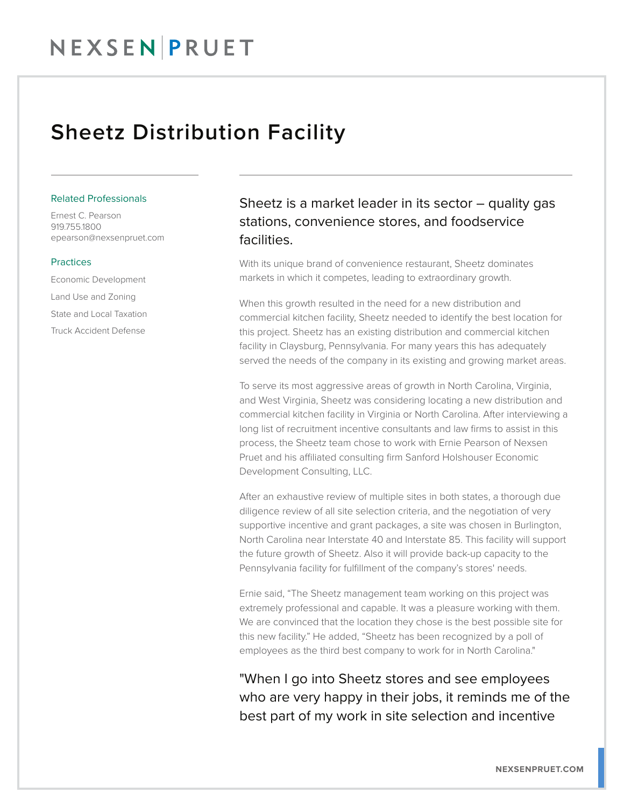## Sheetz Distribution Facility

#### Related Professionals

Ernest C. Pearson 919.755.1800 epearson@nexsenpruet.com

#### **Practices**

Economic Development Land Use and Zoning State and Local Taxation Truck Accident Defense

### Sheetz is a market leader in its sector – quality gas stations, convenience stores, and foodservice facilities.

With its unique brand of convenience restaurant, Sheetz dominates markets in which it competes, leading to extraordinary growth.

When this growth resulted in the need for a new distribution and commercial kitchen facility, Sheetz needed to identify the best location for this project. Sheetz has an existing distribution and commercial kitchen facility in Claysburg, Pennsylvania. For many years this has adequately served the needs of the company in its existing and growing market areas.

To serve its most aggressive areas of growth in North Carolina, Virginia, and West Virginia, Sheetz was considering locating a new distribution and commercial kitchen facility in Virginia or North Carolina. After interviewing a long list of recruitment incentive consultants and law firms to assist in this process, the Sheetz team chose to work with Ernie Pearson of Nexsen Pruet and his affiliated consulting firm Sanford Holshouser Economic Development Consulting, LLC.

After an exhaustive review of multiple sites in both states, a thorough due diligence review of all site selection criteria, and the negotiation of very supportive incentive and grant packages, a site was chosen in Burlington, North Carolina near Interstate 40 and Interstate 85. This facility will support the future growth of Sheetz. Also it will provide back-up capacity to the Pennsylvania facility for fulfillment of the company's stores' needs.

Ernie said, "The Sheetz management team working on this project was extremely professional and capable. It was a pleasure working with them. We are convinced that the location they chose is the best possible site for this new facility." He added, "Sheetz has been recognized by a poll of employees as the third best company to work for in North Carolina."

"When I go into Sheetz stores and see employees who are very happy in their jobs, it reminds me of the best part of my work in site selection and incentive